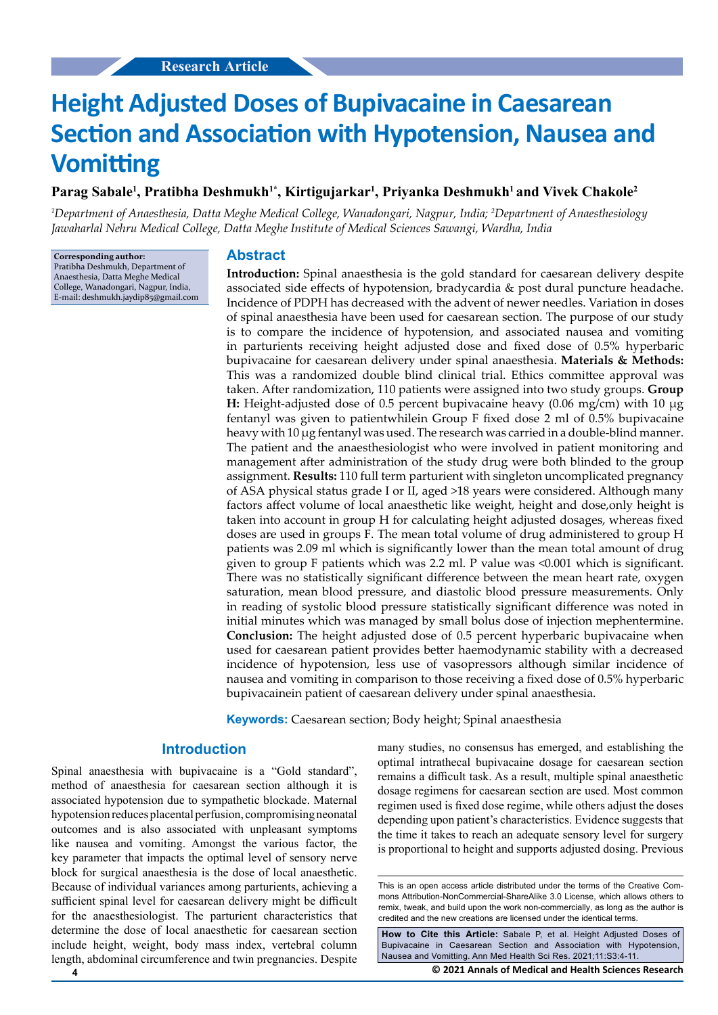# **Height Adjusted Doses of Bupivacaine in Caesarean Section and Association with Hypotension, Nausea and Vomitting**

## Parag Sabale<sup>1</sup>, Pratibha Deshmukh<sup>1\*</sup>, Kirtigujarkar<sup>1</sup>, Priyanka Deshmukh<sup>1</sup> and Vivek Chakole<sup>2</sup>

*1 Department of Anaesthesia, Datta Meghe Medical College, Wanadongari, Nagpur, India; 2 Department of Anaesthesiology Jawaharlal Nehru Medical College, Datta Meghe Institute of Medical Sciences Sawangi, Wardha, India* 

**Corresponding author:** Pratibha Deshmukh, Department of Anaesthesia, Datta Meghe Medical College, Wanadongari, Nagpur, India, E-mail: deshmukh.jaydip85@gmail.com

## **Abstract**

**Introduction:** Spinal anaesthesia is the gold standard for caesarean delivery despite associated side effects of hypotension, bradycardia & post dural puncture headache. Incidence of PDPH has decreased with the advent of newer needles. Variation in doses of spinal anaesthesia have been used for caesarean section. The purpose of our study is to compare the incidence of hypotension, and associated nausea and vomiting in parturients receiving height adjusted dose and fixed dose of 0.5% hyperbaric bupivacaine for caesarean delivery under spinal anaesthesia. **Materials & Methods:** This was a randomized double blind clinical trial. Ethics committee approval was taken. After randomization, 110 patients were assigned into two study groups. **Group H:** Height-adjusted dose of 0.5 percent bupivacaine heavy (0.06 mg/cm) with 10 µg fentanyl was given to patientwhilein Group F fixed dose 2 ml of 0.5% bupivacaine heavy with 10 µg fentanyl was used. The research was carried in a double-blind manner. The patient and the anaesthesiologist who were involved in patient monitoring and management after administration of the study drug were both blinded to the group assignment. **Results:** 110 full term parturient with singleton uncomplicated pregnancy of ASA physical status grade I or II, aged >18 years were considered. Although many factors affect volume of local anaesthetic like weight, height and dose,only height is taken into account in group H for calculating height adjusted dosages, whereas fixed doses are used in groups F. The mean total volume of drug administered to group H patients was 2.09 ml which is significantly lower than the mean total amount of drug given to group F patients which was 2.2 ml. P value was <0.001 which is significant. There was no statistically significant difference between the mean heart rate, oxygen saturation, mean blood pressure, and diastolic blood pressure measurements. Only in reading of systolic blood pressure statistically significant difference was noted in initial minutes which was managed by small bolus dose of injection mephentermine. **Conclusion:** The height adjusted dose of 0.5 percent hyperbaric bupivacaine when used for caesarean patient provides better haemodynamic stability with a decreased incidence of hypotension, less use of vasopressors although similar incidence of nausea and vomiting in comparison to those receiving a fixed dose of 0.5% hyperbaric bupivacainein patient of caesarean delivery under spinal anaesthesia.

**Keywords:** Caesarean section; Body height; Spinal anaesthesia

## **Introduction**

Spinal anaesthesia with bupivacaine is a "Gold standard", method of anaesthesia for caesarean section although it is associated hypotension due to sympathetic blockade. Maternal hypotension reduces placental perfusion, compromising neonatal outcomes and is also associated with unpleasant symptoms like nausea and vomiting. Amongst the various factor, the key parameter that impacts the optimal level of sensory nerve block for surgical anaesthesia is the dose of local anaesthetic. Because of individual variances among parturients, achieving a sufficient spinal level for caesarean delivery might be difficult for the anaesthesiologist. The parturient characteristics that determine the dose of local anaesthetic for caesarean section include height, weight, body mass index, vertebral column length, abdominal circumference and twin pregnancies. Despite many studies, no consensus has emerged, and establishing the optimal intrathecal bupivacaine dosage for caesarean section remains a difficult task. As a result, multiple spinal anaesthetic dosage regimens for caesarean section are used. Most common regimen used is fixed dose regime, while others adjust the doses depending upon patient's characteristics. Evidence suggests that the time it takes to reach an adequate sensory level for surgery is proportional to height and supports adjusted dosing. Previous

**How to Cite this Article:** Sabale P, et al. Height Adjusted Doses of Bupivacaine in Caesarean Section and Association with Hypotension, Nausea and Vomitting. Ann Med Health Sci Res. 2021;11:S3:4-11.

**4 © 2021 Annals of Medical and Health Sciences Research** 

This is an open access article distributed under the terms of the Creative Commons Attribution-NonCommercial-ShareAlike 3.0 License, which allows others to remix, tweak, and build upon the work non‑commercially, as long as the author is credited and the new creations are licensed under the identical terms.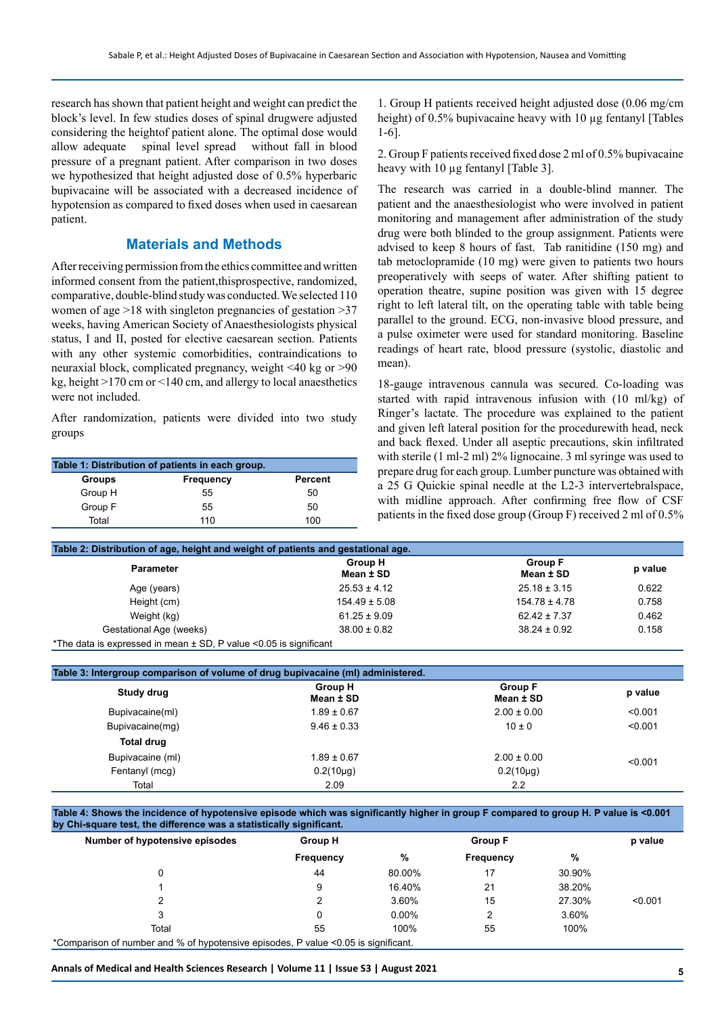research has shown that patient height and weight can predict the block's level. In few studies doses of spinal drugwere adjusted considering the heightof patient alone. The optimal dose would allow adequate spinal level spread without fall in blood pressure of a pregnant patient. After comparison in two doses we hypothesized that height adjusted dose of 0.5% hyperbaric bupivacaine will be associated with a decreased incidence of hypotension as compared to fixed doses when used in caesarean patient.

# **Materials and Methods**

After receiving permission from the ethics committee and written informed consent from the patient,thisprospective, randomized, comparative, double-blind study was conducted. We selected 110 women of age >18 with singleton pregnancies of gestation >37 weeks, having American Society of Anaesthesiologists physical status, I and II, posted for elective caesarean section. Patients with any other systemic comorbidities, contraindications to neuraxial block, complicated pregnancy, weight <40 kg or >90 kg, height >170 cm or <140 cm, and allergy to local anaesthetics were not included.

After randomization, patients were divided into two study groups

| Table 1: Distribution of patients in each group. |           |         |  |  |
|--------------------------------------------------|-----------|---------|--|--|
| <b>Groups</b>                                    | Frequency | Percent |  |  |
| Group H                                          | 55        | 50      |  |  |
| Group F                                          | 55        | 50      |  |  |
| Total                                            | 110       | 100     |  |  |

1. Group H patients received height adjusted dose (0.06 mg/cm height) of 0.5% bupivacaine heavy with 10 µg fentanyl [Tables 1-6].

2. Group F patients received fixed dose 2 ml of 0.5% bupivacaine heavy with 10 µg fentanyl [Table 3].

The research was carried in a double-blind manner. The patient and the anaesthesiologist who were involved in patient monitoring and management after administration of the study drug were both blinded to the group assignment. Patients were advised to keep 8 hours of fast. Tab ranitidine (150 mg) and tab metoclopramide (10 mg) were given to patients two hours preoperatively with seeps of water. After shifting patient to operation theatre, supine position was given with 15 degree right to left lateral tilt, on the operating table with table being parallel to the ground. ECG, non-invasive blood pressure, and a pulse oximeter were used for standard monitoring. Baseline readings of heart rate, blood pressure (systolic, diastolic and mean).

18-gauge intravenous cannula was secured. Co-loading was started with rapid intravenous infusion with (10 ml/kg) of Ringer's lactate. The procedure was explained to the patient and given left lateral position for the procedurewith head, neck and back flexed. Under all aseptic precautions, skin infiltrated with sterile (1 ml-2 ml) 2% lignocaine. 3 ml syringe was used to prepare drug for each group. Lumber puncture was obtained with a 25 G Quickie spinal needle at the L2-3 intervertebralspace, with midline approach. After confirming free flow of CSF patients in the fixed dose group (Group F) received 2 ml of 0.5%

| Table 2: Distribution of age, height and weight of patients and gestational age. |                             |                             |         |  |
|----------------------------------------------------------------------------------|-----------------------------|-----------------------------|---------|--|
| <b>Parameter</b>                                                                 | <b>Group H</b><br>Mean ± SD | <b>Group F</b><br>Mean ± SD | p value |  |
| Age (years)                                                                      | $25.53 \pm 4.12$            | $25.18 \pm 3.15$            | 0.622   |  |
| Height (cm)                                                                      | $154.49 \pm 5.08$           | $154.78 \pm 4.78$           | 0.758   |  |
| Weight (kg)                                                                      | $61.25 \pm 9.09$            | $62.42 \pm 7.37$            | 0.462   |  |
| Gestational Age (weeks)                                                          | $38.00 \pm 0.82$            | $38.24 \pm 0.92$            | 0.158   |  |
| *The data is expressed in mean ± SD, P value <0.05 is significant                |                             |                             |         |  |

| Study drug        | Group H<br>Mean ± SD | <b>Group F</b><br>Mean ± SD | p value |
|-------------------|----------------------|-----------------------------|---------|
| Bupivacaine(ml)   | $1.89 \pm 0.67$      | $2.00 \pm 0.00$             | < 0.001 |
| Bupivacaine(mg)   | $9.46 \pm 0.33$      | $10 \pm 0$                  | < 0.001 |
| <b>Total drug</b> |                      |                             |         |
| Bupivacaine (ml)  | $1.89 \pm 0.67$      | $2.00 \pm 0.00$             | < 0.001 |
| Fentanyl (mcg)    | $0.2(10\mu g)$       | $0.2(10\mu g)$              |         |
| Total             | 2.09                 | $2.2^{\circ}$               |         |

**Table 4: Shows the incidence of hypotensive episode which was significantly higher in group F compared to group H. P value is <0.001 by Chi-square test, the difference was a statistically significant.**

| Number of hypotensive episodes                                                     | <b>Group H</b><br><b>Group F</b> |          |           |        | p value |
|------------------------------------------------------------------------------------|----------------------------------|----------|-----------|--------|---------|
|                                                                                    | Frequency                        | %        | Frequency | %      |         |
|                                                                                    | 44                               | 80.00%   | 17        | 30.90% |         |
|                                                                                    | 9                                | 16.40%   | 21        | 38.20% |         |
|                                                                                    |                                  | 3.60%    | 15        | 27.30% | < 0.001 |
| 3                                                                                  | 0                                | $0.00\%$ | 2         | 3.60%  |         |
| Total                                                                              | 55                               | 100%     | 55        | 100%   |         |
| *Comparison of number and % of hypotensive episodes, P value <0.05 is significant. |                                  |          |           |        |         |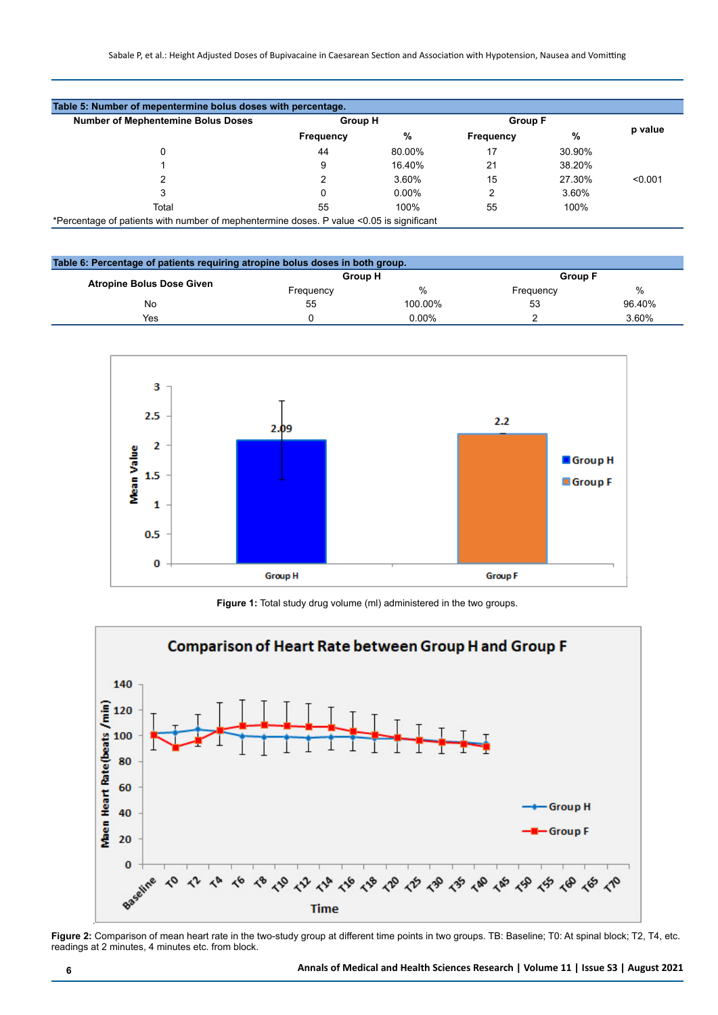| <b>Number of Mephentemine Bolus Doses</b> | <b>Group H</b>   |          | <b>Group F</b> |        |         |
|-------------------------------------------|------------------|----------|----------------|--------|---------|
|                                           | <b>Frequency</b> | %        | Frequency      | %      | p value |
| 0                                         | 44               | 80.00%   | 17             | 30.90% |         |
|                                           | 9                | 16.40%   | 21             | 38.20% |         |
|                                           |                  | 3.60%    | 15             | 27.30% | < 0.001 |
|                                           | 0                | $0.00\%$ | 2              | 3.60%  |         |
| Total                                     | 55               | 100%     | 55             | 100%   |         |

| Table 6: Percentage of patients requiring atropine bolus doses in both group. |           |                |           |                |  |
|-------------------------------------------------------------------------------|-----------|----------------|-----------|----------------|--|
| <b>Atropine Bolus Dose Given</b>                                              |           | <b>Group H</b> |           | <b>Group F</b> |  |
|                                                                               | Frequency | %              | Frequency | %              |  |
| No                                                                            | 55        | 100.00%        | 53        | 96.40%         |  |
| Yes                                                                           |           | 0.00%          |           | 3.60%          |  |



**Figure 1:** Total study drug volume (ml) administered in the two groups.



**Figure 2:** Comparison of mean heart rate in the two-study group at different time points in two groups. TB: Baseline; T0: At spinal block; T2, T4, etc. readings at 2 minutes, 4 minutes etc. from block.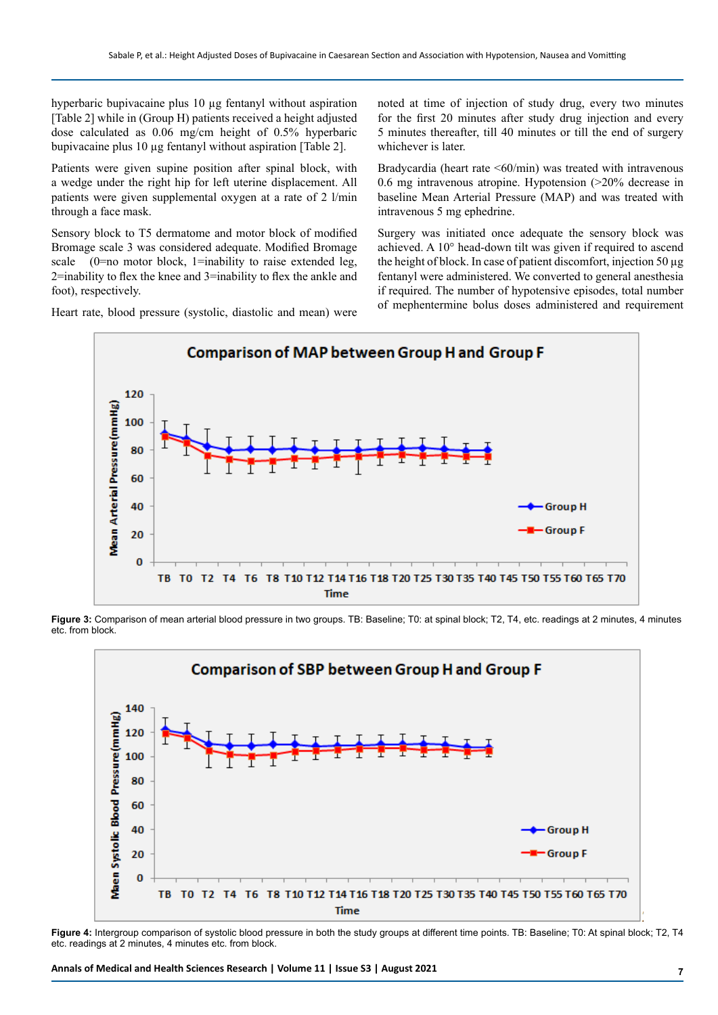hyperbaric bupivacaine plus 10 µg fentanyl without aspiration [Table 2] while in (Group H) patients received a height adjusted dose calculated as 0.06 mg/cm height of 0.5% hyperbaric bupivacaine plus 10 µg fentanyl without aspiration [Table 2].

Patients were given supine position after spinal block, with a wedge under the right hip for left uterine displacement. All patients were given supplemental oxygen at a rate of 2 l/min through a face mask.

Sensory block to T5 dermatome and motor block of modified Bromage scale 3 was considered adequate. Modified Bromage scale  $(0=$ no motor block, 1=inability to raise extended leg, 2=inability to flex the knee and 3=inability to flex the ankle and foot), respectively.

Heart rate, blood pressure (systolic, diastolic and mean) were

noted at time of injection of study drug, every two minutes for the first 20 minutes after study drug injection and every 5 minutes thereafter, till 40 minutes or till the end of surgery whichever is later.

Bradycardia (heart rate  $\leq 60$ /min) was treated with intravenous 0.6 mg intravenous atropine. Hypotension (>20% decrease in baseline Mean Arterial Pressure (MAP) and was treated with intravenous 5 mg ephedrine.

Surgery was initiated once adequate the sensory block was achieved. A 10° head-down tilt was given if required to ascend the height of block. In case of patient discomfort, injection 50 µg fentanyl were administered. We converted to general anesthesia if required. The number of hypotensive episodes, total number of mephentermine bolus doses administered and requirement



**Figure 3:** Comparison of mean arterial blood pressure in two groups. TB: Baseline; T0: at spinal block; T2, T4, etc. readings at 2 minutes, 4 minutes etc. from block.



**Figure 4:** Intergroup comparison of systolic blood pressure in both the study groups at different time points. TB: Baseline; T0: At spinal block; T2, T4 etc. readings at 2 minutes, 4 minutes etc. from block.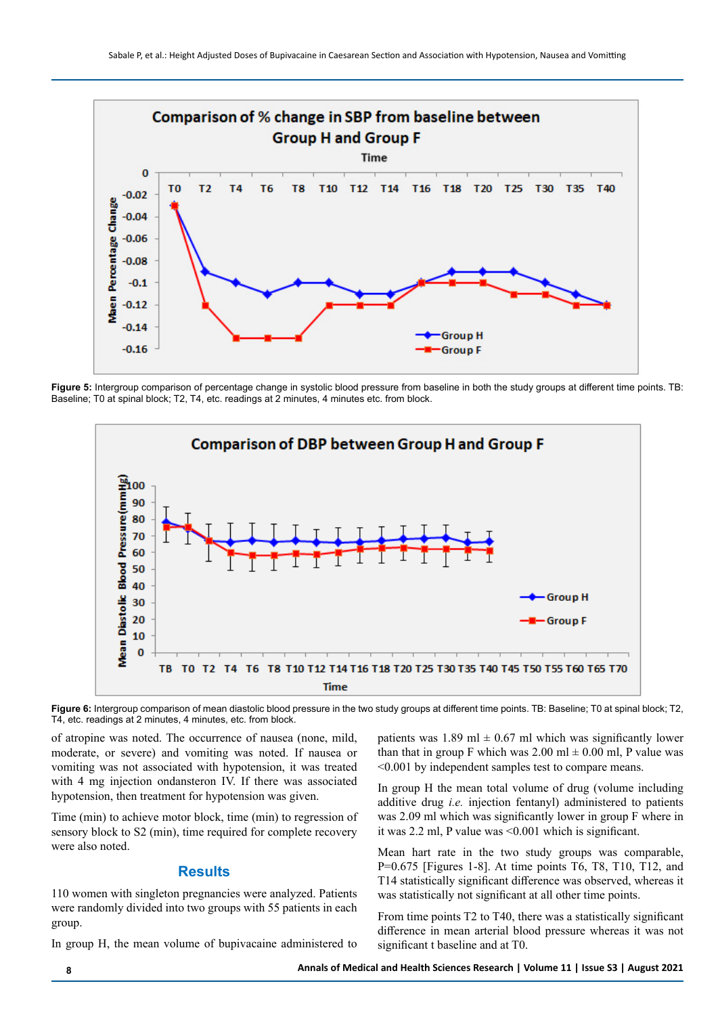

**Figure 5:** Intergroup comparison of percentage change in systolic blood pressure from baseline in both the study groups at different time points. TB: Baseline; T0 at spinal block; T2, T4, etc. readings at 2 minutes, 4 minutes etc. from block.



**Figure 6:** Intergroup comparison of mean diastolic blood pressure in the two study groups at different time points. TB: Baseline; T0 at spinal block; T2, T4, etc. readings at 2 minutes, 4 minutes, etc. from block.

of atropine was noted. The occurrence of nausea (none, mild, moderate, or severe) and vomiting was noted. If nausea or vomiting was not associated with hypotension, it was treated with 4 mg injection ondansteron IV. If there was associated hypotension, then treatment for hypotension was given.

Time (min) to achieve motor block, time (min) to regression of sensory block to S2 (min), time required for complete recovery were also noted.

#### **Results**

110 women with singleton pregnancies were analyzed. Patients were randomly divided into two groups with 55 patients in each group.

In group H, the mean volume of bupivacaine administered to

patients was 1.89 ml  $\pm$  0.67 ml which was significantly lower than that in group F which was  $2.00 \text{ ml} \pm 0.00 \text{ ml}$ , P value was <0.001 by independent samples test to compare means.

In group H the mean total volume of drug (volume including additive drug *i.e.* injection fentanyl) administered to patients was 2.09 ml which was significantly lower in group F where in it was 2.2 ml, P value was <0.001 which is significant.

Mean hart rate in the two study groups was comparable, P=0.675 [Figures 1-8]. At time points T6, T8, T10, T12, and T14 statistically significant difference was observed, whereas it was statistically not significant at all other time points.

From time points T2 to T40, there was a statistically significant difference in mean arterial blood pressure whereas it was not significant t baseline and at T0.

**8 Annals of Medical and Health Sciences Research | Volume 11 | Issue S3 | August 2021**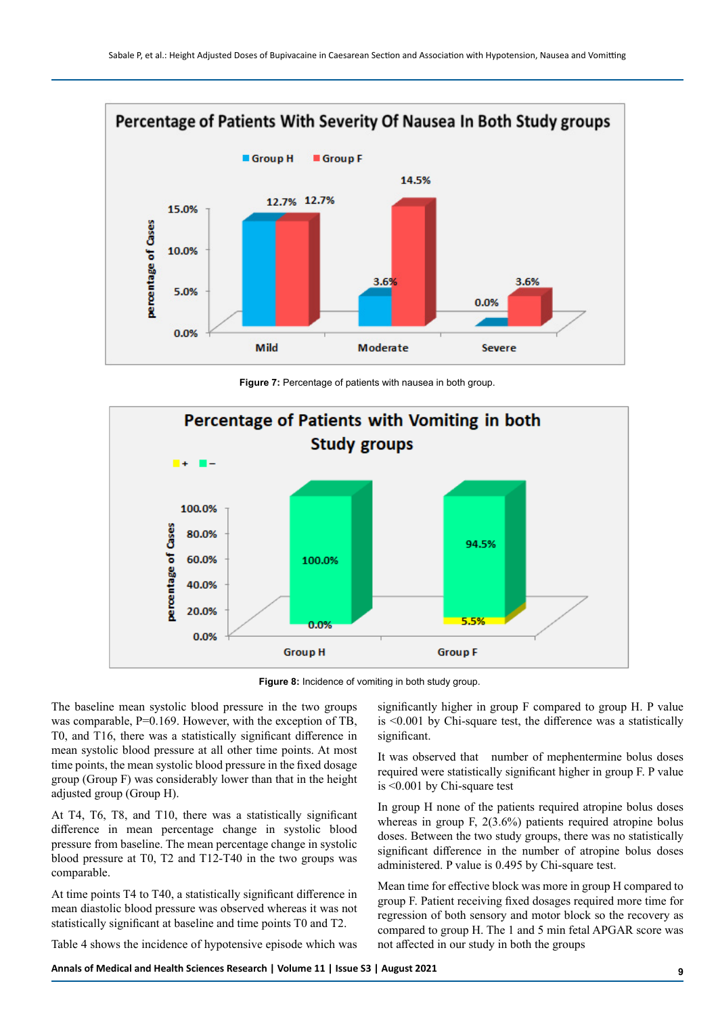

**Figure 7:** Percentage of patients with nausea in both group.



**Figure 8:** Incidence of vomiting in both study group.

The baseline mean systolic blood pressure in the two groups was comparable, P=0.169. However, with the exception of TB, T0, and T16, there was a statistically significant difference in mean systolic blood pressure at all other time points. At most time points, the mean systolic blood pressure in the fixed dosage group (Group F) was considerably lower than that in the height adjusted group (Group H).

At T4, T6, T8, and T10, there was a statistically significant difference in mean percentage change in systolic blood pressure from baseline. The mean percentage change in systolic blood pressure at T0, T2 and T12-T40 in the two groups was comparable.

At time points T4 to T40, a statistically significant difference in mean diastolic blood pressure was observed whereas it was not statistically significant at baseline and time points T0 and T2.

Table 4 shows the incidence of hypotensive episode which was

significantly higher in group F compared to group H. P value is <0.001 by Chi-square test, the difference was a statistically significant.

It was observed that number of mephentermine bolus doses required were statistically significant higher in group F. P value is <0.001 by Chi-square test

In group H none of the patients required atropine bolus doses whereas in group F, 2(3.6%) patients required atropine bolus doses. Between the two study groups, there was no statistically significant difference in the number of atropine bolus doses administered. P value is 0.495 by Chi-square test.

Mean time for effective block was more in group H compared to group F. Patient receiving fixed dosages required more time for regression of both sensory and motor block so the recovery as compared to group H. The 1 and 5 min fetal APGAR score was not affected in our study in both the groups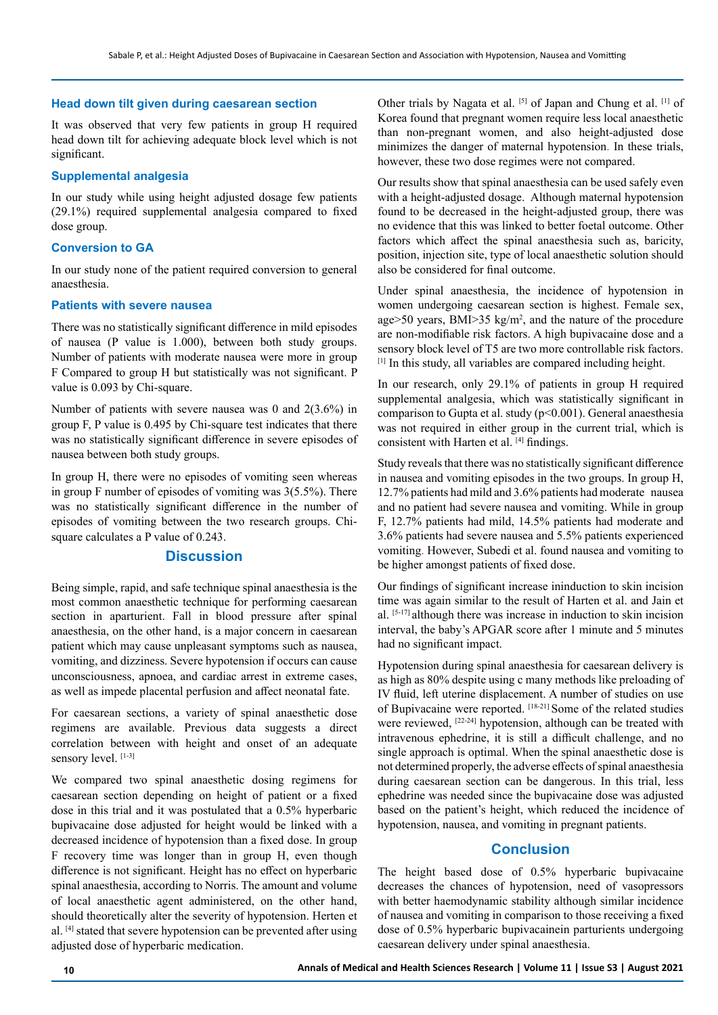#### **Head down tilt given during caesarean section**

It was observed that very few patients in group H required head down tilt for achieving adequate block level which is not significant.

#### **Supplemental analgesia**

In our study while using height adjusted dosage few patients (29.1%) required supplemental analgesia compared to fixed dose group.

### **Conversion to GA**

In our study none of the patient required conversion to general anaesthesia.

## **Patients with severe nausea**

There was no statistically significant difference in mild episodes of nausea (P value is 1.000), between both study groups. Number of patients with moderate nausea were more in group F Compared to group H but statistically was not significant. P value is 0.093 by Chi-square.

Number of patients with severe nausea was 0 and 2(3.6%) in group F, P value is 0.495 by Chi-square test indicates that there was no statistically significant difference in severe episodes of nausea between both study groups.

In group H, there were no episodes of vomiting seen whereas in group F number of episodes of vomiting was 3(5.5%). There was no statistically significant difference in the number of episodes of vomiting between the two research groups. Chisquare calculates a P value of 0.243.

#### **Discussion**

Being simple, rapid, and safe technique spinal anaesthesia is the most common anaesthetic technique for performing caesarean section in aparturient. Fall in blood pressure after spinal anaesthesia, on the other hand, is a major concern in caesarean patient which may cause unpleasant symptoms such as nausea, vomiting, and dizziness. Severe hypotension if occurs can cause unconsciousness, apnoea, and cardiac arrest in extreme cases, as well as impede placental perfusion and affect neonatal fate.

For caesarean sections, a variety of spinal anaesthetic dose regimens are available. Previous data suggests a direct correlation between with height and onset of an adequate sensory level. [1-3]

We compared two spinal anaesthetic dosing regimens for caesarean section depending on height of patient or a fixed dose in this trial and it was postulated that a 0.5% hyperbaric bupivacaine dose adjusted for height would be linked with a decreased incidence of hypotension than a fixed dose. In group F recovery time was longer than in group H, even though difference is not significant. Height has no effect on hyperbaric spinal anaesthesia, according to Norris. The amount and volume of local anaesthetic agent administered, on the other hand, should theoretically alter the severity of hypotension. Herten et al. [4] stated that severe hypotension can be prevented after using adjusted dose of hyperbaric medication.

Other trials by Nagata et al. [5] of Japan and Chung et al. [1] of Korea found that pregnant women require less local anaesthetic than non-pregnant women, and also height-adjusted dose minimizes the danger of maternal hypotension. In these trials, however, these two dose regimes were not compared.

Our results show that spinal anaesthesia can be used safely even with a height-adjusted dosage. Although maternal hypotension found to be decreased in the height-adjusted group, there was no evidence that this was linked to better foetal outcome. Other factors which affect the spinal anaesthesia such as, baricity, position, injection site, type of local anaesthetic solution should also be considered for final outcome.

Under spinal anaesthesia, the incidence of hypotension in women undergoing caesarean section is highest. Female sex, age $>50$  years, BMI $>35$  kg/m<sup>2</sup>, and the nature of the procedure are non-modifiable risk factors. A high bupivacaine dose and a sensory block level of T5 are two more controllable risk factors. [1] In this study, all variables are compared including height.

In our research, only 29.1% of patients in group H required supplemental analgesia, which was statistically significant in comparison to Gupta et al. study (p<0.001). General anaesthesia was not required in either group in the current trial, which is consistent with Harten et al. [4] findings.

Study reveals that there was no statistically significant difference in nausea and vomiting episodes in the two groups. In group H, 12.7% patients had mild and 3.6% patients had moderate nausea and no patient had severe nausea and vomiting. While in group F, 12.7% patients had mild, 14.5% patients had moderate and 3.6% patients had severe nausea and 5.5% patients experienced vomiting. However, Subedi et al. found nausea and vomiting to be higher amongst patients of fixed dose.

Our findings of significant increase ininduction to skin incision time was again similar to the result of Harten et al. and Jain et al. [5-17] although there was increase in induction to skin incision interval, the baby's APGAR score after 1 minute and 5 minutes had no significant impact.

Hypotension during spinal anaesthesia for caesarean delivery is as high as 80% despite using c many methods like preloading of IV fluid, left uterine displacement. A number of studies on use of Bupivacaine were reported. [18-21] Some of the related studies were reviewed, <sup>[22-24]</sup> hypotension, although can be treated with intravenous ephedrine, it is still a difficult challenge, and no single approach is optimal. When the spinal anaesthetic dose is not determined properly, the adverse effects of spinal anaesthesia during caesarean section can be dangerous. In this trial, less ephedrine was needed since the bupivacaine dose was adjusted based on the patient's height, which reduced the incidence of hypotension, nausea, and vomiting in pregnant patients.

## **Conclusion**

The height based dose of 0.5% hyperbaric bupivacaine decreases the chances of hypotension, need of vasopressors with better haemodynamic stability although similar incidence of nausea and vomiting in comparison to those receiving a fixed dose of 0.5% hyperbaric bupivacainein parturients undergoing caesarean delivery under spinal anaesthesia.